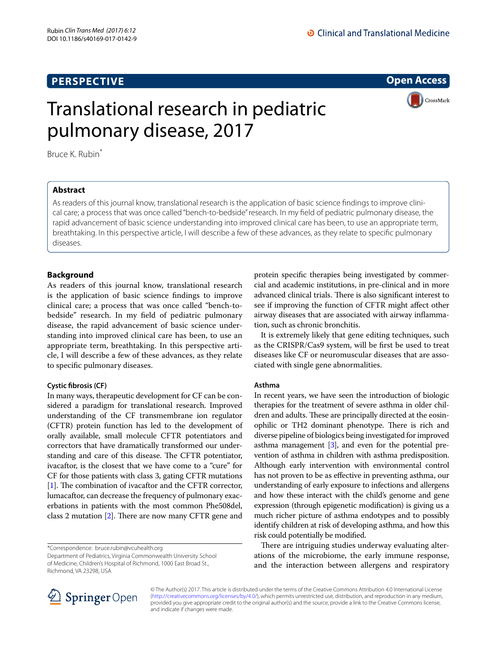## **PERSPECTIVE**

**Open Access**

# Translational research in pediatric pulmonary disease, 2017



Bruce K. Rubin\*

## **Abstract**

As readers of this journal know, translational research is the application of basic science findings to improve clinical care; a process that was once called "bench-to-bedside" research. In my field of pediatric pulmonary disease, the rapid advancement of basic science understanding into improved clinical care has been, to use an appropriate term, breathtaking. In this perspective article, I will describe a few of these advances, as they relate to specific pulmonary diseases.

## **Background**

As readers of this journal know, translational research is the application of basic science findings to improve clinical care; a process that was once called "bench-tobedside" research. In my field of pediatric pulmonary disease, the rapid advancement of basic science understanding into improved clinical care has been, to use an appropriate term, breathtaking. In this perspective article, I will describe a few of these advances, as they relate to specific pulmonary diseases.

## **Cystic fibrosis (CF)**

In many ways, therapeutic development for CF can be considered a paradigm for translational research. Improved understanding of the CF transmembrane ion regulator (CFTR) protein function has led to the development of orally available, small molecule CFTR potentiators and correctors that have dramatically transformed our understanding and care of this disease. The CFTR potentiator, ivacaftor, is the closest that we have come to a "cure" for CF for those patients with class 3, gating CFTR mutations [[1\]](#page-1-0). The combination of ivacaftor and the CFTR corrector, lumacaftor, can decrease the frequency of pulmonary exacerbations in patients with the most common Phe508del, class 2 mutation [\[2](#page-1-1)]. There are now many CFTR gene and

\*Correspondence: bruce.rubin@vcuhealth.org

Department of Pediatrics, Virginia Commonwealth University School of Medicine, Children's Hospital of Richmond, 1000 East Broad St., Richmond, VA 23298, USA

protein specific therapies being investigated by commercial and academic institutions, in pre-clinical and in more advanced clinical trials. There is also significant interest to see if improving the function of CFTR might affect other airway diseases that are associated with airway inflammation, such as chronic bronchitis.

It is extremely likely that gene editing techniques, such as the CRISPR/Cas9 system, will be first be used to treat diseases like CF or neuromuscular diseases that are associated with single gene abnormalities.

#### **Asthma**

In recent years, we have seen the introduction of biologic therapies for the treatment of severe asthma in older children and adults. These are principally directed at the eosinophilic or TH2 dominant phenotype. There is rich and diverse pipeline of biologics being investigated for improved asthma management  $[3]$ , and even for the potential prevention of asthma in children with asthma predisposition. Although early intervention with environmental control has not proven to be as effective in preventing asthma, our understanding of early exposure to infections and allergens and how these interact with the child's genome and gene expression (through epigenetic modification) is giving us a much richer picture of asthma endotypes and to possibly identify children at risk of developing asthma, and how this risk could potentially be modified.

There are intriguing studies underway evaluating alterations of the microbiome, the early immune response, and the interaction between allergens and respiratory



© The Author(s) 2017. This article is distributed under the terms of the Creative Commons Attribution 4.0 International License [\(http://creativecommons.org/licenses/by/4.0/\)](http://creativecommons.org/licenses/by/4.0/), which permits unrestricted use, distribution, and reproduction in any medium, provided you give appropriate credit to the original author(s) and the source, provide a link to the Creative Commons license, and indicate if changes were made.